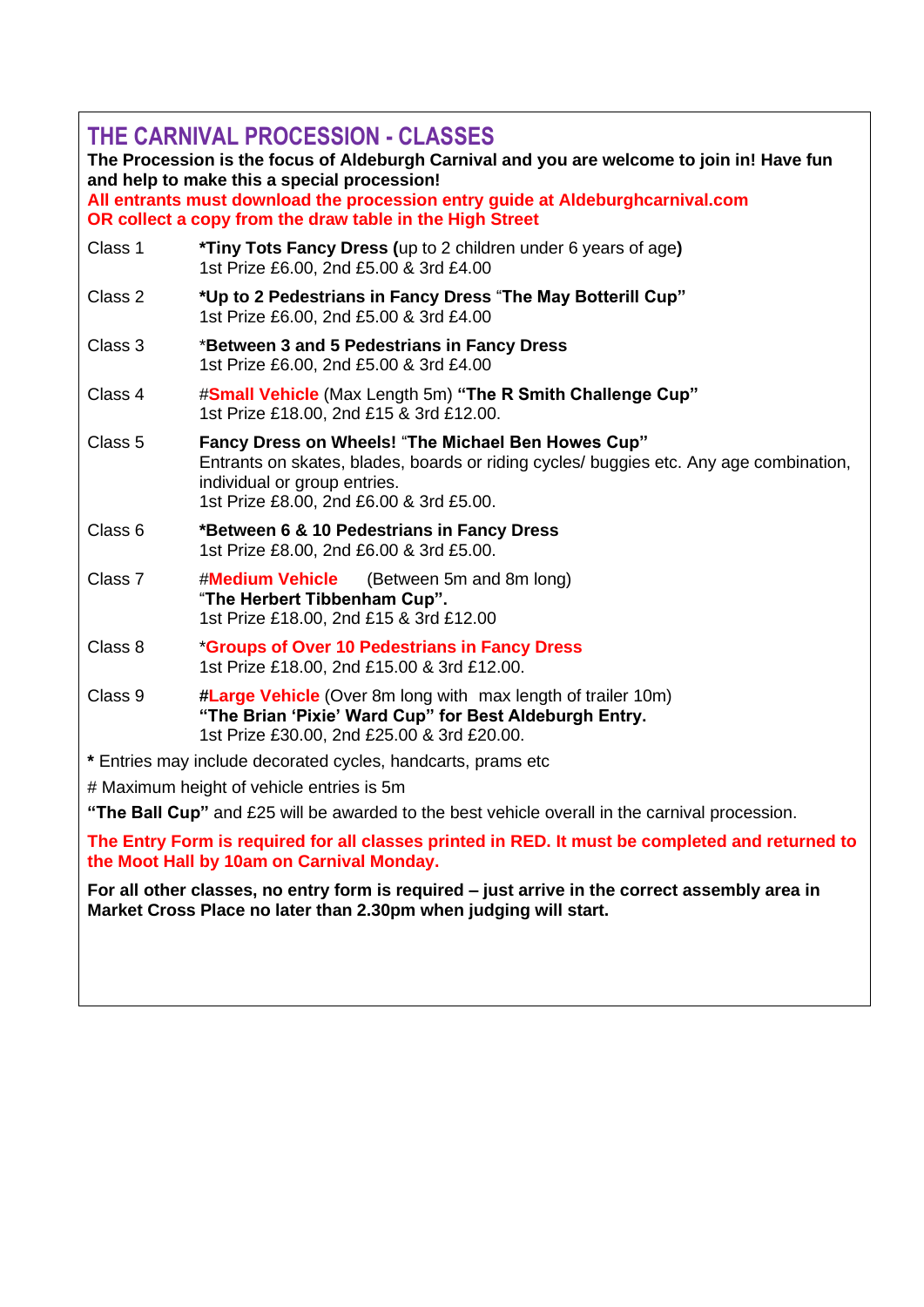| THE CARNIVAL PROCESSION - CLASSES<br>The Procession is the focus of Aldeburgh Carnival and you are welcome to join in! Have fun<br>and help to make this a special procession!<br>All entrants must download the procession entry guide at Aldeburghcarnival.com<br>OR collect a copy from the draw table in the High Street |                                                                                                                                                                                                                         |  |  |  |
|------------------------------------------------------------------------------------------------------------------------------------------------------------------------------------------------------------------------------------------------------------------------------------------------------------------------------|-------------------------------------------------------------------------------------------------------------------------------------------------------------------------------------------------------------------------|--|--|--|
| Class 1                                                                                                                                                                                                                                                                                                                      | *Tiny Tots Fancy Dress (up to 2 children under 6 years of age)<br>1st Prize £6.00, 2nd £5.00 & 3rd £4.00                                                                                                                |  |  |  |
| Class 2                                                                                                                                                                                                                                                                                                                      | *Up to 2 Pedestrians in Fancy Dress "The May Botterill Cup"<br>1st Prize £6.00, 2nd £5.00 & 3rd £4.00                                                                                                                   |  |  |  |
| Class 3                                                                                                                                                                                                                                                                                                                      | *Between 3 and 5 Pedestrians in Fancy Dress<br>1st Prize £6.00, 2nd £5.00 & 3rd £4.00                                                                                                                                   |  |  |  |
| Class 4                                                                                                                                                                                                                                                                                                                      | #Small Vehicle (Max Length 5m) "The R Smith Challenge Cup"<br>1st Prize £18.00, 2nd £15 & 3rd £12.00.                                                                                                                   |  |  |  |
| Class <sub>5</sub>                                                                                                                                                                                                                                                                                                           | Fancy Dress on Wheels! "The Michael Ben Howes Cup"<br>Entrants on skates, blades, boards or riding cycles/ buggies etc. Any age combination,<br>individual or group entries.<br>1st Prize £8.00, 2nd £6.00 & 3rd £5.00. |  |  |  |
| Class 6                                                                                                                                                                                                                                                                                                                      | *Between 6 & 10 Pedestrians in Fancy Dress<br>1st Prize £8.00, 2nd £6.00 & 3rd £5.00.                                                                                                                                   |  |  |  |
| Class 7                                                                                                                                                                                                                                                                                                                      | #Medium Vehicle<br>(Between 5m and 8m long)<br>"The Herbert Tibbenham Cup".<br>1st Prize £18.00, 2nd £15 & 3rd £12.00                                                                                                   |  |  |  |
| Class 8                                                                                                                                                                                                                                                                                                                      | *Groups of Over 10 Pedestrians in Fancy Dress<br>1st Prize £18.00, 2nd £15.00 & 3rd £12.00.                                                                                                                             |  |  |  |
| Class 9                                                                                                                                                                                                                                                                                                                      | #Large Vehicle (Over 8m long with max length of trailer 10m)<br>"The Brian 'Pixie' Ward Cup" for Best Aldeburgh Entry.<br>1st Prize £30.00, 2nd £25.00 & 3rd £20.00.                                                    |  |  |  |
| * Entries may include decorated cycles, handcarts, prams etc                                                                                                                                                                                                                                                                 |                                                                                                                                                                                                                         |  |  |  |
| # Maximum height of vehicle entries is 5m                                                                                                                                                                                                                                                                                    |                                                                                                                                                                                                                         |  |  |  |
| "The Ball Cup" and £25 will be awarded to the best vehicle overall in the carnival procession.                                                                                                                                                                                                                               |                                                                                                                                                                                                                         |  |  |  |
| The Entry Form is required for all classes printed in RED. It must be completed and returned to<br>the Moot Hall by 10am on Carnival Monday.                                                                                                                                                                                 |                                                                                                                                                                                                                         |  |  |  |
| For all other classes, no entry form is required – just arrive in the correct assembly area in<br>Market Cross Place no later than 2.30pm when judging will start.                                                                                                                                                           |                                                                                                                                                                                                                         |  |  |  |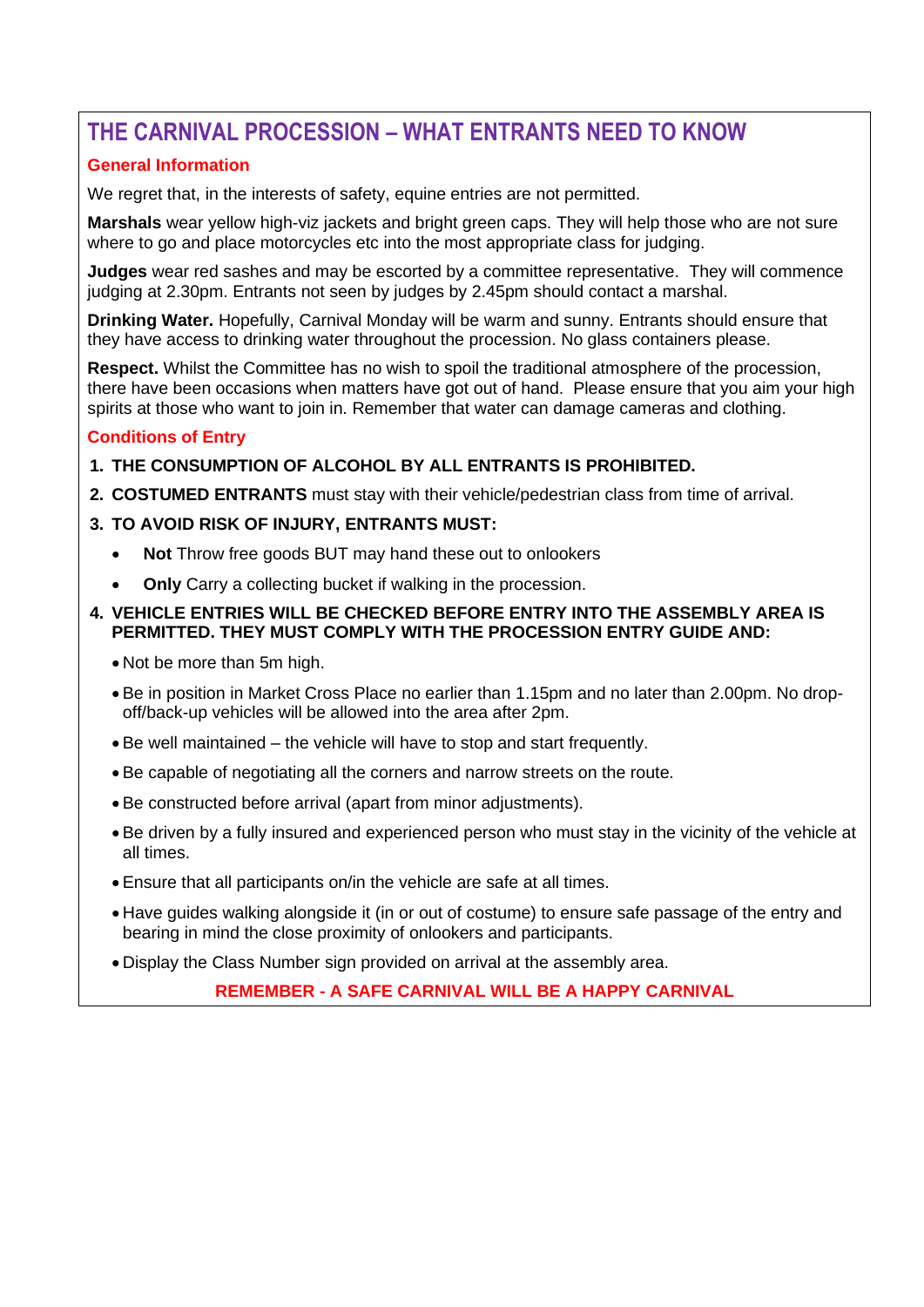## **THE CARNIVAL PROCESSION – WHAT ENTRANTS NEED TO KNOW**

### **General Information**

We regret that, in the interests of safety, equine entries are not permitted.

**Marshals** wear yellow high-viz jackets and bright green caps. They will help those who are not sure where to go and place motorcycles etc into the most appropriate class for judging.

**Judges** wear red sashes and may be escorted by a committee representative. They will commence judging at 2.30pm. Entrants not seen by judges by 2.45pm should contact a marshal.

**Drinking Water.** Hopefully, Carnival Monday will be warm and sunny. Entrants should ensure that they have access to drinking water throughout the procession. No glass containers please.

**Respect.** Whilst the Committee has no wish to spoil the traditional atmosphere of the procession, there have been occasions when matters have got out of hand. Please ensure that you aim your high spirits at those who want to join in. Remember that water can damage cameras and clothing.

#### **Conditions of Entry**

**1. THE CONSUMPTION OF ALCOHOL BY ALL ENTRANTS IS PROHIBITED.**

**2. COSTUMED ENTRANTS** must stay with their vehicle/pedestrian class from time of arrival.

#### **3. TO AVOID RISK OF INJURY, ENTRANTS MUST:**

- **Not** Throw free goods BUT may hand these out to onlookers
- **Only** Carry a collecting bucket if walking in the procession.

#### **4. VEHICLE ENTRIES WILL BE CHECKED BEFORE ENTRY INTO THE ASSEMBLY AREA IS PERMITTED. THEY MUST COMPLY WITH THE PROCESSION ENTRY GUIDE AND:**

- Not be more than 5m high.
- Be in position in Market Cross Place no earlier than 1.15pm and no later than 2.00pm. No dropoff/back-up vehicles will be allowed into the area after 2pm.
- Be well maintained the vehicle will have to stop and start frequently.
- Be capable of negotiating all the corners and narrow streets on the route.
- Be constructed before arrival (apart from minor adjustments).
- Be driven by a fully insured and experienced person who must stay in the vicinity of the vehicle at all times.
- Ensure that all participants on/in the vehicle are safe at all times.
- Have guides walking alongside it (in or out of costume) to ensure safe passage of the entry and bearing in mind the close proximity of onlookers and participants.
- Display the Class Number sign provided on arrival at the assembly area.

**REMEMBER - A SAFE CARNIVAL WILL BE A HAPPY CARNIVAL**